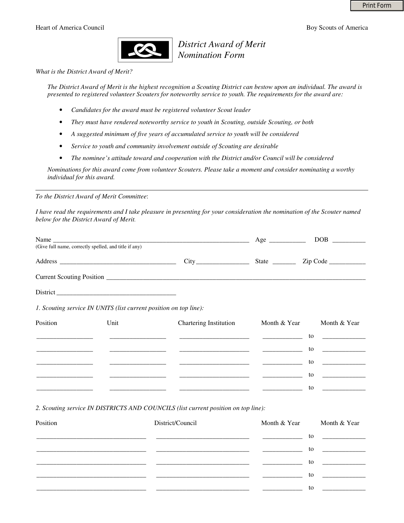

*District Award of Merit Nomination Form*

*What is the District Award of Merit?* 

*The District Award of Merit is the highest recognition a Scouting District can bestow upon an individual. The award is presented to registered volunteer Scouters for noteworthy service to youth. The requirements for the award are:* 

- *Candidates for the award must be registered volunteer Scout leader*
- *They must have rendered noteworthy service to youth in Scouting, outside Scouting, or both*
- *A suggested minimum of five years of accumulated service to youth will be considered*
- *Service to youth and community involvement outside of Scouting are desirable*
- *The nominee's attitude toward and cooperation with the District and/or Council will be considered*

*Nominations for this award come from volunteer Scouters. Please take a moment and consider nominating a worthy individual for this award.* 

*To the District Award of Merit Committee*:

*I have read the requirements and I take pleasure in presenting for your consideration the nomination of the Scouter named below for the District Award of Merit.* 

| Name<br>(Give full name, correctly spelled, and title if any) |                                                                                                                                                                                                                                                                                                                      | $Age \_$            | DOB                                                |
|---------------------------------------------------------------|----------------------------------------------------------------------------------------------------------------------------------------------------------------------------------------------------------------------------------------------------------------------------------------------------------------------|---------------------|----------------------------------------------------|
|                                                               | $City$ <sub>—</sub><br>$\frac{1}{2}$ and $\frac{1}{2}$ and $\frac{1}{2}$ and $\frac{1}{2}$ and $\frac{1}{2}$ and $\frac{1}{2}$ and $\frac{1}{2}$ and $\frac{1}{2}$ and $\frac{1}{2}$ and $\frac{1}{2}$ and $\frac{1}{2}$ and $\frac{1}{2}$ and $\frac{1}{2}$ and $\frac{1}{2}$ and $\frac{1}{2}$ and $\frac{1}{2}$ a | State $\frac{ }{ }$ | $\mathsf{Zip} \ \mathsf{Code} \ \_\_\_\_\_\_\_\_\$ |
|                                                               |                                                                                                                                                                                                                                                                                                                      |                     |                                                    |
| District                                                      |                                                                                                                                                                                                                                                                                                                      |                     |                                                    |

*1. Scouting service IN UNITS (list current position on top line):* 

| Position | Unit | Chartering Institution | Month & Year                                 | Month & Year                                                                                                                                                                                                                   |
|----------|------|------------------------|----------------------------------------------|--------------------------------------------------------------------------------------------------------------------------------------------------------------------------------------------------------------------------------|
|          |      |                        | the control of the control of the control of | to the contract of the contract of the contract of the contract of the contract of the contract of the contract of the contract of the contract of the contract of the contract of the contract of the contract of the contrac |
|          |      |                        |                                              | to                                                                                                                                                                                                                             |
|          |      |                        |                                              | to                                                                                                                                                                                                                             |
|          |      |                        |                                              | to                                                                                                                                                                                                                             |
|          |      |                        |                                              | to                                                                                                                                                                                                                             |

*2. Scouting service IN DISTRICTS AND COUNCILS (list current position on top line):* 

| Position | District/Council | Month & Year                                 | Month & Year                                                                                                                                                                                                                               |
|----------|------------------|----------------------------------------------|--------------------------------------------------------------------------------------------------------------------------------------------------------------------------------------------------------------------------------------------|
|          |                  | the control of the control of the control of | to<br><u> 1989 - Johann Harry Harry Harry Harry Harry Harry Harry Harry Harry Harry Harry Harry Harry Harry Harry Harry Harry Harry Harry Harry Harry Harry Harry Harry Harry Harry Harry Harry Harry Harry Harry Harry Harry Harry Ha</u> |
|          |                  |                                              | to                                                                                                                                                                                                                                         |
|          |                  |                                              | to                                                                                                                                                                                                                                         |
|          |                  |                                              | to                                                                                                                                                                                                                                         |
|          |                  |                                              | to                                                                                                                                                                                                                                         |